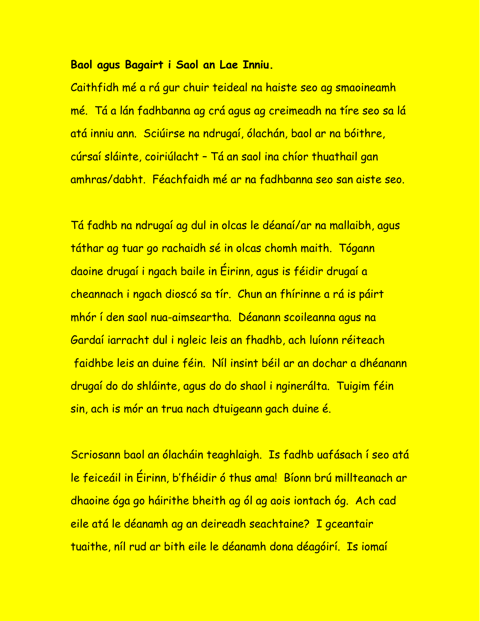## **Baol agus Bagairt i Saol an Lae Inniu.**

Caithfidh mé a rá gur chuir teideal na haiste seo ag smaoineamh mé. Tá a lán fadhbanna ag crá agus ag creimeadh na tíre seo sa lá atá inniu ann. Sciúirse na ndrugaí, ólachán, baol ar na bóithre, cúrsaí sláinte, coiriúlacht – Tá an saol ina chíor thuathail gan amhras/dabht. Féachfaidh mé ar na fadhbanna seo san aiste seo.

Tá fadhb na ndrugaí ag dul in olcas le déanaí/ar na mallaibh, agus táthar ag tuar go rachaidh sé in olcas chomh maith. Tógann daoine drugaí i ngach baile in Éirinn, agus is féidir drugaí a cheannach i ngach dioscó sa tír. Chun an fhírinne a rá is páirt mhór í den saol nua-aimseartha. Déanann scoileanna agus na Gardaí iarracht dul i ngleic leis an fhadhb, ach luíonn réiteach faidhbe leis an duine féin. Níl insint béil ar an dochar a dhéanann drugaí do do shláinte, agus do do shaol i nginerálta. Tuigim féin sin, ach is mór an trua nach dtuigeann gach duine é.

Scriosann baol an ólacháin teaghlaigh. Is fadhb uafásach í seo atá le feiceáil in Éirinn, b'fhéidir ó thus ama! Bíonn brú millteanach ar dhaoine óga go háirithe bheith ag ól ag aois iontach óg. Ach cad eile atá le déanamh ag an deireadh seachtaine? I gceantair tuaithe, níl rud ar bith eile le déanamh dona déagóirí. Is iomaí